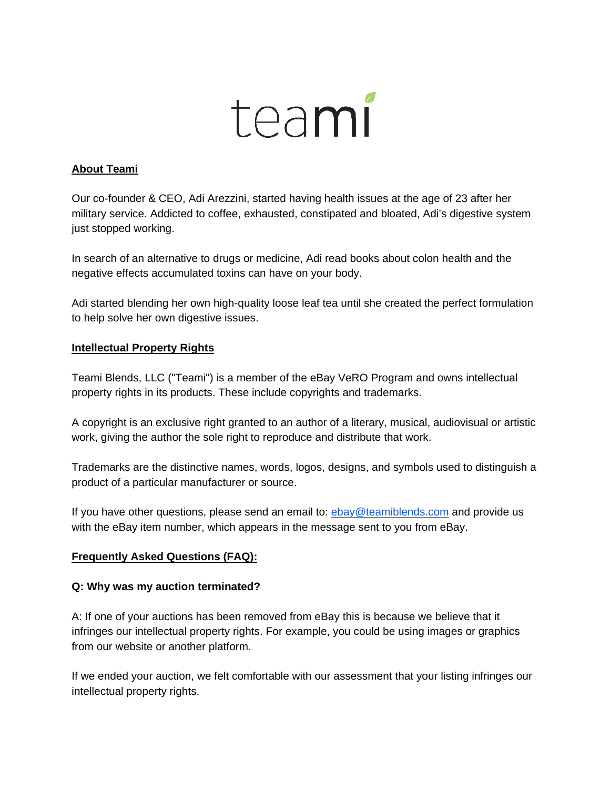# teami

# **About Teami**

Our co-founder & CEO, Adi Arezzini, started having health issues at the age of 23 after her military service. Addicted to coffee, exhausted, constipated and bloated, Adi's digestive system just stopped working.

In search of an alternative to drugs or medicine, Adi read books about colon health and the negative effects accumulated toxins can have on your body.

Adi started blending her own high-quality loose leaf tea until she created the perfect formulation to help solve her own digestive issues.

# **Intellectual Property Rights**

Teami Blends, LLC ("Teami") is a member of the eBay VeRO Program and owns intellectual property rights in its products. These include copyrights and trademarks.

A copyright is an exclusive right granted to an author of a literary, musical, audiovisual or artistic work, giving the author the sole right to reproduce and distribute that work.

Trademarks are the distinctive names, words, logos, designs, and symbols used to distinguish a product of a particular manufacturer or source.

If you have other questions, please send an email to: ebay@teamiblends.com and provide us with the eBay item number, which appears in the message sent to you from eBay.

# **Frequently Asked Questions (FAQ):**

# **Q: Why was my auction terminated?**

A: If one of your auctions has been removed from eBay this is because we believe that it infringes our intellectual property rights. For example, you could be using images or graphics from our website or another platform.

If we ended your auction, we felt comfortable with our assessment that your listing infringes our intellectual property rights.